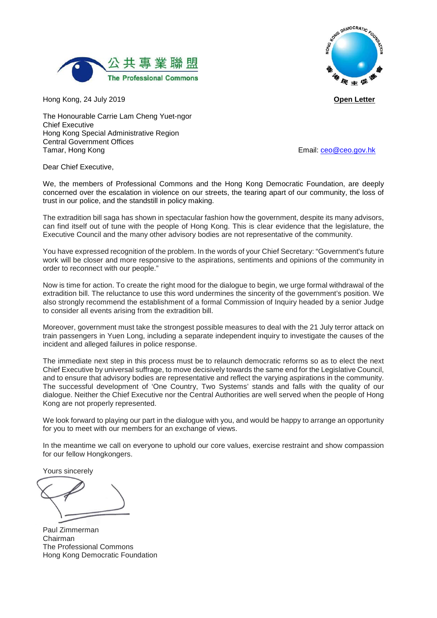

Hong Kong, 24 July 2019 **Open Letter**

HONG DEMOCRATIC FOUND HONG 每年促

The Honourable Carrie Lam Cheng Yuet-ngor Chief Executive Hong Kong Special Administrative Region Central Government Offices Tamar, Hong Kong **Email: [ceo@ceo.gov.hk](mailto:ceo@ceo.gov.hk)** Email: ceo@ceo.gov.hk

Dear Chief Executive,

We, the members of Professional Commons and the Hong Kong Democratic Foundation, are deeply concerned over the escalation in violence on our streets, the tearing apart of our community, the loss of trust in our police, and the standstill in policy making.

The extradition bill saga has shown in spectacular fashion how the government, despite its many advisors, can find itself out of tune with the people of Hong Kong. This is clear evidence that the legislature, the Executive Council and the many other advisory bodies are not representative of the community.

You have expressed recognition of the problem. In the words of your Chief Secretary: "Government's future work will be closer and more responsive to the aspirations, sentiments and opinions of the community in order to reconnect with our people."

Now is time for action. To create the right mood for the dialogue to begin, we urge formal withdrawal of the extradition bill. The reluctance to use this word undermines the sincerity of the government's position. We also strongly recommend the establishment of a formal Commission of Inquiry headed by a senior Judge to consider all events arising from the extradition bill.

Moreover, government must take the strongest possible measures to deal with the 21 July terror attack on train passengers in Yuen Long, including a separate independent inquiry to investigate the causes of the incident and alleged failures in police response.

The immediate next step in this process must be to relaunch democratic reforms so as to elect the next Chief Executive by universal suffrage, to move decisively towards the same end for the Legislative Council, and to ensure that advisory bodies are representative and reflect the varying aspirations in the community. The successful development of 'One Country, Two Systems' stands and falls with the quality of our dialogue. Neither the Chief Executive nor the Central Authorities are well served when the people of Hong Kong are not properly represented.

We look forward to playing our part in the dialogue with you, and would be happy to arrange an opportunity for you to meet with our members for an exchange of views.

In the meantime we call on everyone to uphold our core values, exercise restraint and show compassion for our fellow Hongkongers.

Yours sincerely

Paul Zimmerman Chairman The Professional Commons Hong Kong Democratic Foundation